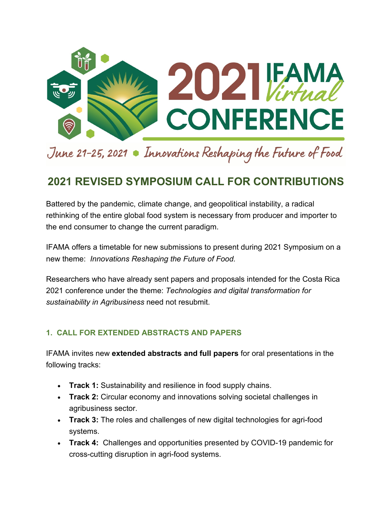

June 21-25, 2021 . Innovations Reshaping the Future of Food

# **2021 REVISED SYMPOSIUM CALL FOR CONTRIBUTIONS**

Battered by the pandemic, climate change, and geopolitical instability, a radical rethinking of the entire global food system is necessary from producer and importer to the end consumer to change the current paradigm.

IFAMA offers a timetable for new submissions to present during 2021 Symposium on a new theme: *Innovations Reshaping the Future of Food.*

Researchers who have already sent papers and proposals intended for the Costa Rica 2021 conference under the theme: *Technologies and digital transformation for sustainability in Agribusiness* need not resubmit.

## **1. CALL FOR EXTENDED ABSTRACTS AND PAPERS**

IFAMA invites new **extended abstracts and full papers** for oral presentations in the following tracks:

- **Track 1:** Sustainability and resilience in food supply chains.
- **Track 2:** Circular economy and innovations solving societal challenges in agribusiness sector.
- **Track 3:** The roles and challenges of new digital technologies for agri-food systems.
- **Track 4:** [Challenges and opportunities presented by](https://www.sciencedirect.com/science/article/pii/S0048969720348919) COVID-19 pandemic for [cross-cutting disruption in](https://www.sciencedirect.com/science/article/pii/S0048969720348919) agri-food systems.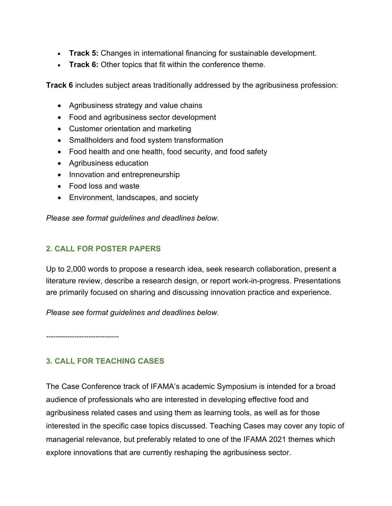- **Track 5:** Changes in international financing for sustainable development.
- **Track 6:** Other topics that fit within the conference theme.

**Track 6** includes subject areas traditionally addressed by the agribusiness profession:

- Agribusiness strategy and value chains
- Food and agribusiness sector development
- Customer orientation and marketing
- Smallholders and food system transformation
- Food health and one health, food security, and food safety
- Agribusiness education
- Innovation and entrepreneurship
- Food loss and waste
- Environment, landscapes, and society

*Please see format guidelines and deadlines below.*

## **2. CALL FOR POSTER PAPERS**

Up to 2,000 words to propose a research idea, seek research collaboration, present a literature review, describe a research design, or report work-in-progress. Presentations are primarily focused on sharing and discussing innovation practice and experience.

*Please see format guidelines and deadlines below.*

*-------------------------------*

# **3. CALL FOR TEACHING CASES**

The Case Conference track of IFAMA's academic Symposium is intended for a broad audience of professionals who are interested in developing effective food and agribusiness related cases and using them as learning tools, as well as for those interested in the specific case topics discussed. Teaching Cases may cover any topic of managerial relevance, but preferably related to one of the IFAMA 2021 themes which explore innovations that are currently reshaping the agribusiness sector.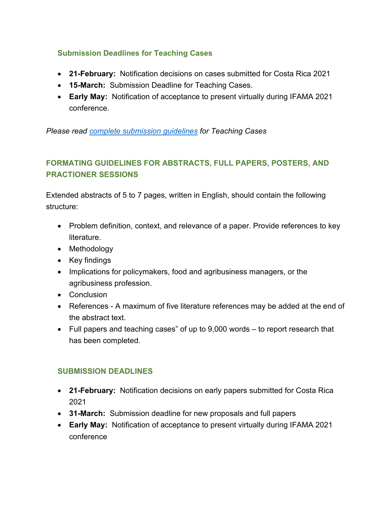## **Submission Deadlines for Teaching Cases**

- **21-February:** Notification decisions on cases submitted for Costa Rica 2021
- **15-March:** Submission Deadline for Teaching Cases.
- **Early May:** Notification of acceptance to present virtually during IFAMA 2021 conference.

*Please read [complete submission guidelines](https://www.ifama.org/resources/Documents/IFAMA%202021/2021%20IFAMA%20Call%20for%20Teaching%20Cases.pdf) for Teaching Cases*

# **FORMATING GUIDELINES FOR ABSTRACTS, FULL PAPERS, POSTERS, AND PRACTIONER SESSIONS**

Extended abstracts of 5 to 7 pages, written in English, should contain the following structure:

- Problem definition, context, and relevance of a paper. Provide references to key literature.
- Methodology
- Key findings
- Implications for policymakers, food and agribusiness managers, or the agribusiness profession.
- Conclusion
- References A maximum of five literature references may be added at the end of the abstract text.
- Full papers and teaching cases" of up to 9,000 words to report research that has been completed.

# **SUBMISSION DEADLINES**

- **21-February:** Notification decisions on early papers submitted for Costa Rica 2021
- **31-March:** Submission deadline for new proposals and full papers
- **Early May:** Notification of acceptance to present virtually during IFAMA 2021 conference